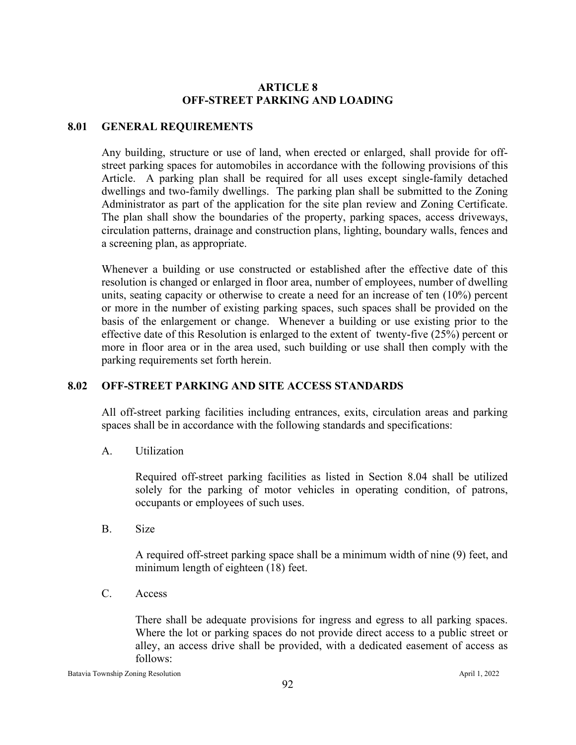# **ARTICLE 8 OFF-STREET PARKING AND LOADING**

### **8.01 GENERAL REQUIREMENTS**

Any building, structure or use of land, when erected or enlarged, shall provide for offstreet parking spaces for automobiles in accordance with the following provisions of this Article. A parking plan shall be required for all uses except single-family detached dwellings and two-family dwellings. The parking plan shall be submitted to the Zoning Administrator as part of the application for the site plan review and Zoning Certificate. The plan shall show the boundaries of the property, parking spaces, access driveways, circulation patterns, drainage and construction plans, lighting, boundary walls, fences and a screening plan, as appropriate.

Whenever a building or use constructed or established after the effective date of this resolution is changed or enlarged in floor area, number of employees, number of dwelling units, seating capacity or otherwise to create a need for an increase of ten (10%) percent or more in the number of existing parking spaces, such spaces shall be provided on the basis of the enlargement or change. Whenever a building or use existing prior to the effective date of this Resolution is enlarged to the extent of twenty-five (25%) percent or more in floor area or in the area used, such building or use shall then comply with the parking requirements set forth herein.

# **8.02 OFF-STREET PARKING AND SITE ACCESS STANDARDS**

All off-street parking facilities including entrances, exits, circulation areas and parking spaces shall be in accordance with the following standards and specifications:

A. Utilization

Required off-street parking facilities as listed in Section 8.04 shall be utilized solely for the parking of motor vehicles in operating condition, of patrons, occupants or employees of such uses.

B. Size

A required off-street parking space shall be a minimum width of nine (9) feet, and minimum length of eighteen (18) feet.

C. Access

There shall be adequate provisions for ingress and egress to all parking spaces. Where the lot or parking spaces do not provide direct access to a public street or alley, an access drive shall be provided, with a dedicated easement of access as follows: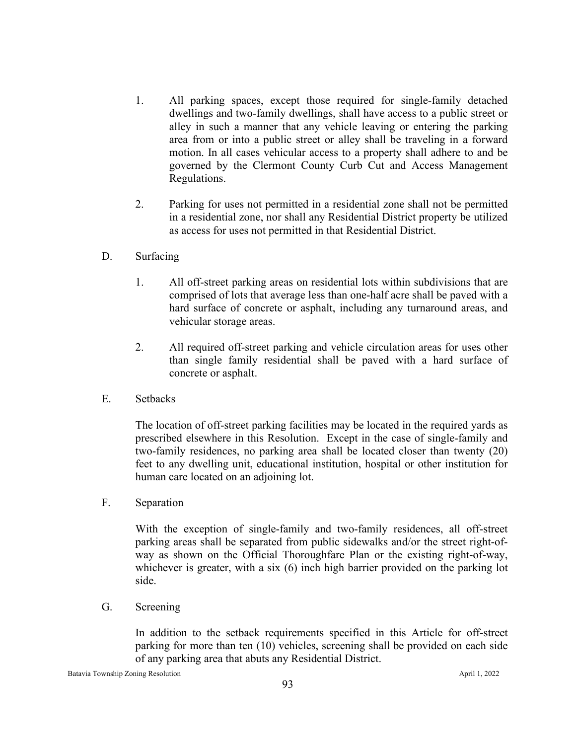- 1. All parking spaces, except those required for single-family detached dwellings and two-family dwellings, shall have access to a public street or alley in such a manner that any vehicle leaving or entering the parking area from or into a public street or alley shall be traveling in a forward motion. In all cases vehicular access to a property shall adhere to and be governed by the Clermont County Curb Cut and Access Management Regulations.
- 2. Parking for uses not permitted in a residential zone shall not be permitted in a residential zone, nor shall any Residential District property be utilized as access for uses not permitted in that Residential District.
- D. Surfacing
	- 1. All off-street parking areas on residential lots within subdivisions that are comprised of lots that average less than one-half acre shall be paved with a hard surface of concrete or asphalt, including any turnaround areas, and vehicular storage areas.
	- 2. All required off-street parking and vehicle circulation areas for uses other than single family residential shall be paved with a hard surface of concrete or asphalt.
- E. Setbacks

The location of off-street parking facilities may be located in the required yards as prescribed elsewhere in this Resolution. Except in the case of single-family and two-family residences, no parking area shall be located closer than twenty (20) feet to any dwelling unit, educational institution, hospital or other institution for human care located on an adjoining lot.

F. Separation

With the exception of single-family and two-family residences, all off-street parking areas shall be separated from public sidewalks and/or the street right-ofway as shown on the Official Thoroughfare Plan or the existing right-of-way, whichever is greater, with a six (6) inch high barrier provided on the parking lot side.

G. Screening

In addition to the setback requirements specified in this Article for off-street parking for more than ten (10) vehicles, screening shall be provided on each side of any parking area that abuts any Residential District.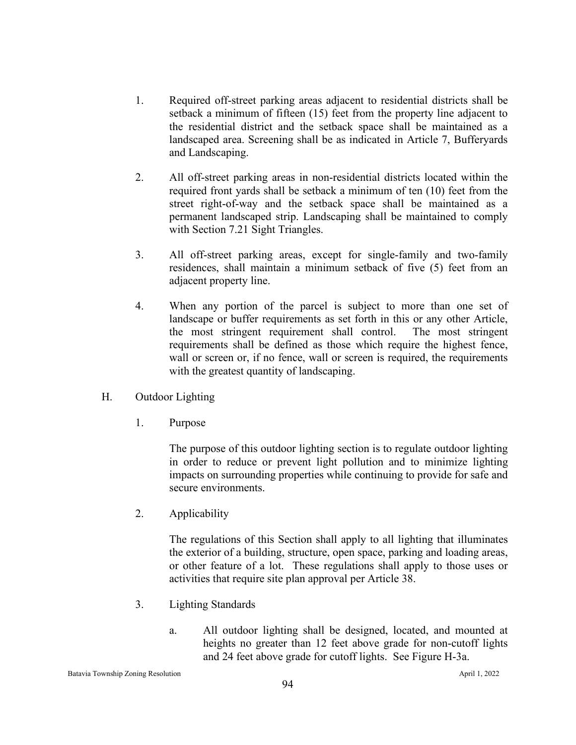- 1. Required off-street parking areas adjacent to residential districts shall be setback a minimum of fifteen (15) feet from the property line adjacent to the residential district and the setback space shall be maintained as a landscaped area. Screening shall be as indicated in Article 7, Bufferyards and Landscaping.
- 2. All off-street parking areas in non-residential districts located within the required front yards shall be setback a minimum of ten (10) feet from the street right-of-way and the setback space shall be maintained as a permanent landscaped strip. Landscaping shall be maintained to comply with Section 7.21 Sight Triangles.
- 3. All off-street parking areas, except for single-family and two-family residences, shall maintain a minimum setback of five (5) feet from an adjacent property line.
- 4. When any portion of the parcel is subject to more than one set of landscape or buffer requirements as set forth in this or any other Article, the most stringent requirement shall control. The most stringent requirements shall be defined as those which require the highest fence, wall or screen or, if no fence, wall or screen is required, the requirements with the greatest quantity of landscaping.
- H. Outdoor Lighting
	- 1. Purpose

The purpose of this outdoor lighting section is to regulate outdoor lighting in order to reduce or prevent light pollution and to minimize lighting impacts on surrounding properties while continuing to provide for safe and secure environments.

2. Applicability

The regulations of this Section shall apply to all lighting that illuminates the exterior of a building, structure, open space, parking and loading areas, or other feature of a lot. These regulations shall apply to those uses or activities that require site plan approval per Article 38.

- 3. Lighting Standards
	- a. All outdoor lighting shall be designed, located, and mounted at heights no greater than 12 feet above grade for non-cutoff lights and 24 feet above grade for cutoff lights. See Figure H-3a.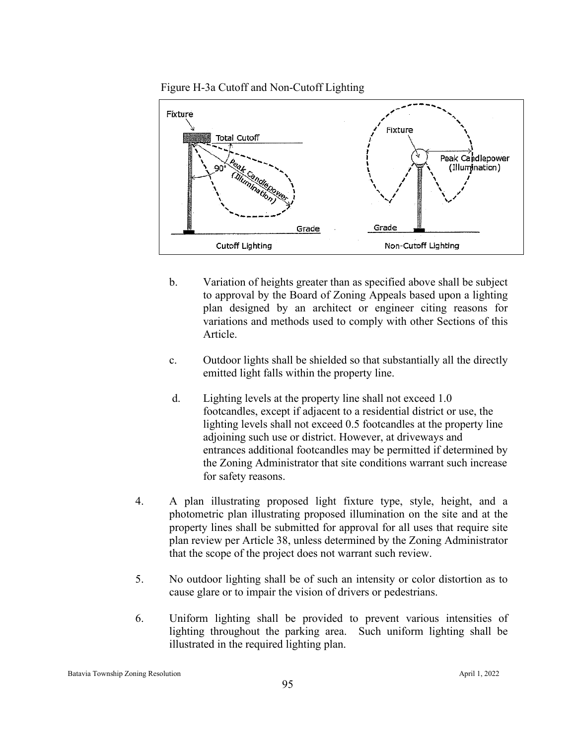



- b. Variation of heights greater than as specified above shall be subject to approval by the Board of Zoning Appeals based upon a lighting plan designed by an architect or engineer citing reasons for variations and methods used to comply with other Sections of this Article.
- c. Outdoor lights shall be shielded so that substantially all the directly emitted light falls within the property line.
- d. Lighting levels at the property line shall not exceed 1.0 footcandles, except if adjacent to a residential district or use, the lighting levels shall not exceed 0.5 footcandles at the property line adjoining such use or district. However, at driveways and entrances additional footcandles may be permitted if determined by the Zoning Administrator that site conditions warrant such increase for safety reasons.
- 4. A plan illustrating proposed light fixture type, style, height, and a photometric plan illustrating proposed illumination on the site and at the property lines shall be submitted for approval for all uses that require site plan review per Article 38, unless determined by the Zoning Administrator that the scope of the project does not warrant such review.
- 5. No outdoor lighting shall be of such an intensity or color distortion as to cause glare or to impair the vision of drivers or pedestrians.
- 6. Uniform lighting shall be provided to prevent various intensities of lighting throughout the parking area. Such uniform lighting shall be illustrated in the required lighting plan.

Batavia Township Zoning Resolution April 1, 2022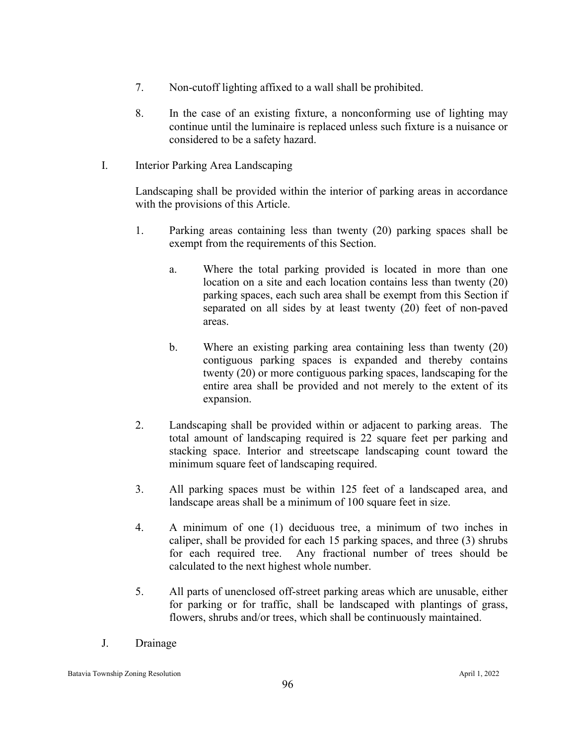- 7. Non-cutoff lighting affixed to a wall shall be prohibited.
- 8. In the case of an existing fixture, a nonconforming use of lighting may continue until the luminaire is replaced unless such fixture is a nuisance or considered to be a safety hazard.
- I. Interior Parking Area Landscaping

Landscaping shall be provided within the interior of parking areas in accordance with the provisions of this Article.

- 1. Parking areas containing less than twenty (20) parking spaces shall be exempt from the requirements of this Section.
	- a. Where the total parking provided is located in more than one location on a site and each location contains less than twenty (20) parking spaces, each such area shall be exempt from this Section if separated on all sides by at least twenty (20) feet of non-paved areas.
	- b. Where an existing parking area containing less than twenty (20) contiguous parking spaces is expanded and thereby contains twenty (20) or more contiguous parking spaces, landscaping for the entire area shall be provided and not merely to the extent of its expansion.
- 2. Landscaping shall be provided within or adjacent to parking areas. The total amount of landscaping required is 22 square feet per parking and stacking space. Interior and streetscape landscaping count toward the minimum square feet of landscaping required.
- 3. All parking spaces must be within 125 feet of a landscaped area, and landscape areas shall be a minimum of 100 square feet in size.
- 4. A minimum of one (1) deciduous tree, a minimum of two inches in caliper, shall be provided for each 15 parking spaces, and three (3) shrubs for each required tree. Any fractional number of trees should be calculated to the next highest whole number.
- 5. All parts of unenclosed off-street parking areas which are unusable, either for parking or for traffic, shall be landscaped with plantings of grass, flowers, shrubs and/or trees, which shall be continuously maintained.
- J. Drainage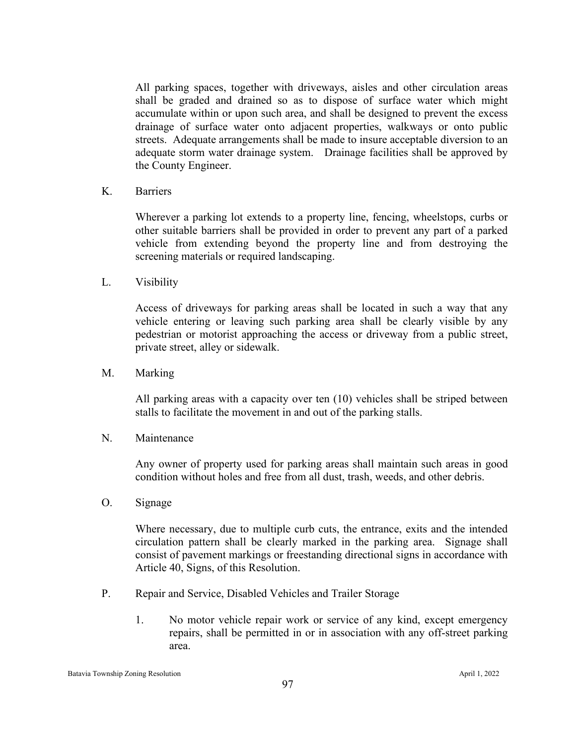All parking spaces, together with driveways, aisles and other circulation areas shall be graded and drained so as to dispose of surface water which might accumulate within or upon such area, and shall be designed to prevent the excess drainage of surface water onto adjacent properties, walkways or onto public streets. Adequate arrangements shall be made to insure acceptable diversion to an adequate storm water drainage system. Drainage facilities shall be approved by the County Engineer.

K. Barriers

Wherever a parking lot extends to a property line, fencing, wheelstops, curbs or other suitable barriers shall be provided in order to prevent any part of a parked vehicle from extending beyond the property line and from destroying the screening materials or required landscaping.

L. Visibility

Access of driveways for parking areas shall be located in such a way that any vehicle entering or leaving such parking area shall be clearly visible by any pedestrian or motorist approaching the access or driveway from a public street, private street, alley or sidewalk.

M. Marking

All parking areas with a capacity over ten (10) vehicles shall be striped between stalls to facilitate the movement in and out of the parking stalls.

N. Maintenance

Any owner of property used for parking areas shall maintain such areas in good condition without holes and free from all dust, trash, weeds, and other debris.

O. Signage

Where necessary, due to multiple curb cuts, the entrance, exits and the intended circulation pattern shall be clearly marked in the parking area. Signage shall consist of pavement markings or freestanding directional signs in accordance with Article 40, Signs, of this Resolution.

- P. Repair and Service, Disabled Vehicles and Trailer Storage
	- 1. No motor vehicle repair work or service of any kind, except emergency repairs, shall be permitted in or in association with any off-street parking area.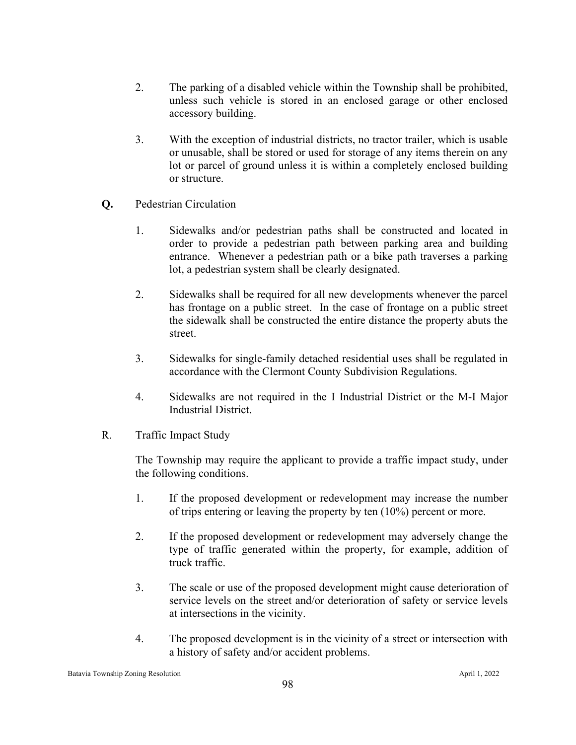- 2. The parking of a disabled vehicle within the Township shall be prohibited, unless such vehicle is stored in an enclosed garage or other enclosed accessory building.
- 3. With the exception of industrial districts, no tractor trailer, which is usable or unusable, shall be stored or used for storage of any items therein on any lot or parcel of ground unless it is within a completely enclosed building or structure.
- **Q.** Pedestrian Circulation
	- 1. Sidewalks and/or pedestrian paths shall be constructed and located in order to provide a pedestrian path between parking area and building entrance. Whenever a pedestrian path or a bike path traverses a parking lot, a pedestrian system shall be clearly designated.
	- 2. Sidewalks shall be required for all new developments whenever the parcel has frontage on a public street. In the case of frontage on a public street the sidewalk shall be constructed the entire distance the property abuts the street.
	- 3. Sidewalks for single-family detached residential uses shall be regulated in accordance with the Clermont County Subdivision Regulations.
	- 4. Sidewalks are not required in the I Industrial District or the M-I Major Industrial District.
- R. Traffic Impact Study

The Township may require the applicant to provide a traffic impact study, under the following conditions.

- 1. If the proposed development or redevelopment may increase the number of trips entering or leaving the property by ten (10%) percent or more.
- 2. If the proposed development or redevelopment may adversely change the type of traffic generated within the property, for example, addition of truck traffic.
- 3. The scale or use of the proposed development might cause deterioration of service levels on the street and/or deterioration of safety or service levels at intersections in the vicinity.
- 4. The proposed development is in the vicinity of a street or intersection with a history of safety and/or accident problems.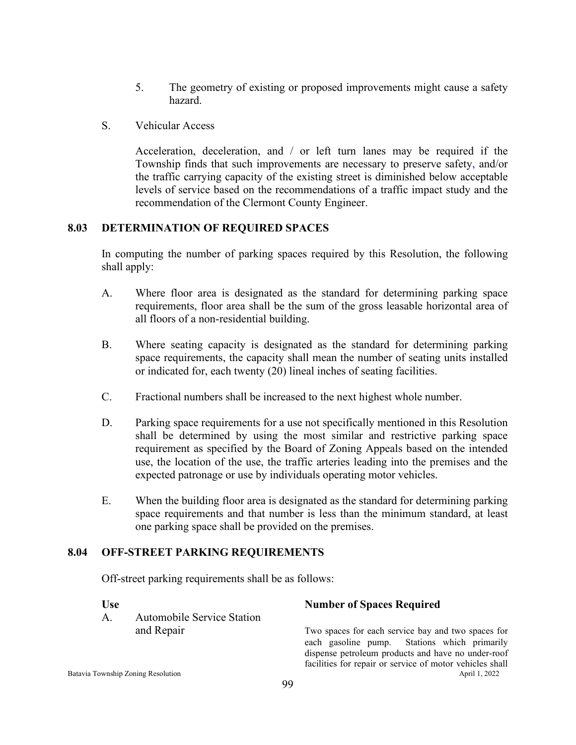- 5. The geometry of existing or proposed improvements might cause a safety hazard.
- S. Vehicular Access

Acceleration, deceleration, and / or left turn lanes may be required if the Township finds that such improvements are necessary to preserve safety, and/or the traffic carrying capacity of the existing street is diminished below acceptable levels of service based on the recommendations of a traffic impact study and the recommendation of the Clermont County Engineer.

#### **8.03 DETERMINATION OF REQUIRED SPACES**

In computing the number of parking spaces required by this Resolution, the following shall apply:

- A. Where floor area is designated as the standard for determining parking space requirements, floor area shall be the sum of the gross leasable horizontal area of all floors of a non-residential building.
- B. Where seating capacity is designated as the standard for determining parking space requirements, the capacity shall mean the number of seating units installed or indicated for, each twenty (20) lineal inches of seating facilities.
- C. Fractional numbers shall be increased to the next highest whole number.
- D. Parking space requirements for a use not specifically mentioned in this Resolution shall be determined by using the most similar and restrictive parking space requirement as specified by the Board of Zoning Appeals based on the intended use, the location of the use, the traffic arteries leading into the premises and the expected patronage or use by individuals operating motor vehicles.
- E. When the building floor area is designated as the standard for determining parking space requirements and that number is less than the minimum standard, at least one parking space shall be provided on the premises.

#### **8.04 OFF-STREET PARKING REQUIREMENTS**

Off-street parking requirements shall be as follows:

A. Automobile Service Station

#### **Use Number of Spaces Required**

Batavia Township Zoning Resolution and the contract of the contract of the contract of the contract of the contract of the contract of the contract of the contract of the contract of the contract of the contract of the con and Repair Two spaces for each service bay and two spaces for each gasoline pump. Stations which primarily dispense petroleum products and have no under-roof facilities for repair or service of motor vehicles shall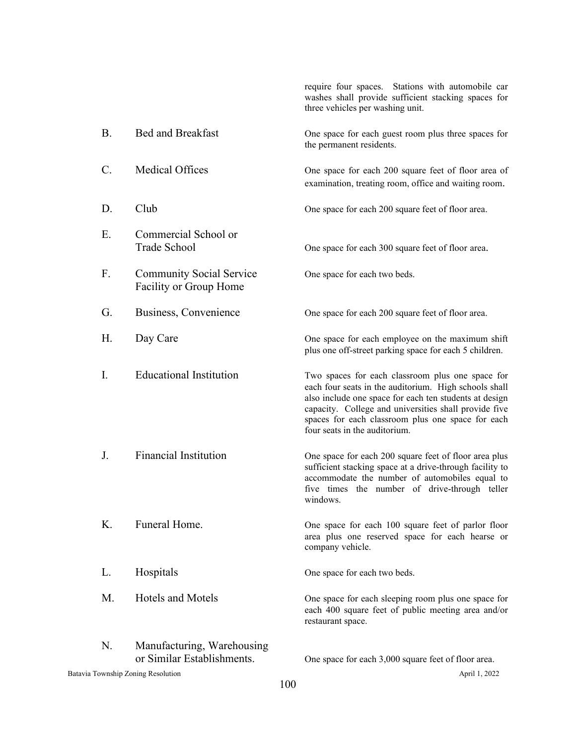|           |                                                           |     | require four spaces. Stations with automobile car<br>washes shall provide sufficient stacking spaces for<br>three vehicles per washing unit.                                                                                                                                                                       |
|-----------|-----------------------------------------------------------|-----|--------------------------------------------------------------------------------------------------------------------------------------------------------------------------------------------------------------------------------------------------------------------------------------------------------------------|
| <b>B.</b> | <b>Bed and Breakfast</b>                                  |     | One space for each guest room plus three spaces for<br>the permanent residents.                                                                                                                                                                                                                                    |
| $C$ .     | Medical Offices                                           |     | One space for each 200 square feet of floor area of<br>examination, treating room, office and waiting room.                                                                                                                                                                                                        |
| D.        | Club                                                      |     | One space for each 200 square feet of floor area.                                                                                                                                                                                                                                                                  |
| Е.        | Commercial School or<br>Trade School                      |     | One space for each 300 square feet of floor area.                                                                                                                                                                                                                                                                  |
| F.        | <b>Community Social Service</b><br>Facility or Group Home |     | One space for each two beds.                                                                                                                                                                                                                                                                                       |
| G.        | Business, Convenience                                     |     | One space for each 200 square feet of floor area.                                                                                                                                                                                                                                                                  |
| Η.        | Day Care                                                  |     | One space for each employee on the maximum shift<br>plus one off-street parking space for each 5 children.                                                                                                                                                                                                         |
| I.        | <b>Educational Institution</b>                            |     | Two spaces for each classroom plus one space for<br>each four seats in the auditorium. High schools shall<br>also include one space for each ten students at design<br>capacity. College and universities shall provide five<br>spaces for each classroom plus one space for each<br>four seats in the auditorium. |
| J.        | <b>Financial Institution</b>                              |     | One space for each 200 square feet of floor area plus<br>sufficient stacking space at a drive-through facility to<br>accommodate the number of automobiles equal to<br>five times the number of drive-through teller<br>windows.                                                                                   |
| Κ.        | Funeral Home.                                             |     | One space for each 100 square feet of parlor floor<br>area plus one reserved space for each hearse or<br>company vehicle.                                                                                                                                                                                          |
| L.        | Hospitals                                                 |     | One space for each two beds.                                                                                                                                                                                                                                                                                       |
| M.        | <b>Hotels and Motels</b>                                  |     | One space for each sleeping room plus one space for<br>each 400 square feet of public meeting area and/or<br>restaurant space.                                                                                                                                                                                     |
| N.        | Manufacturing, Warehousing<br>or Similar Establishments.  |     | One space for each 3,000 square feet of floor area.                                                                                                                                                                                                                                                                |
|           | Batavia Township Zoning Resolution                        | 100 | April 1, 2022                                                                                                                                                                                                                                                                                                      |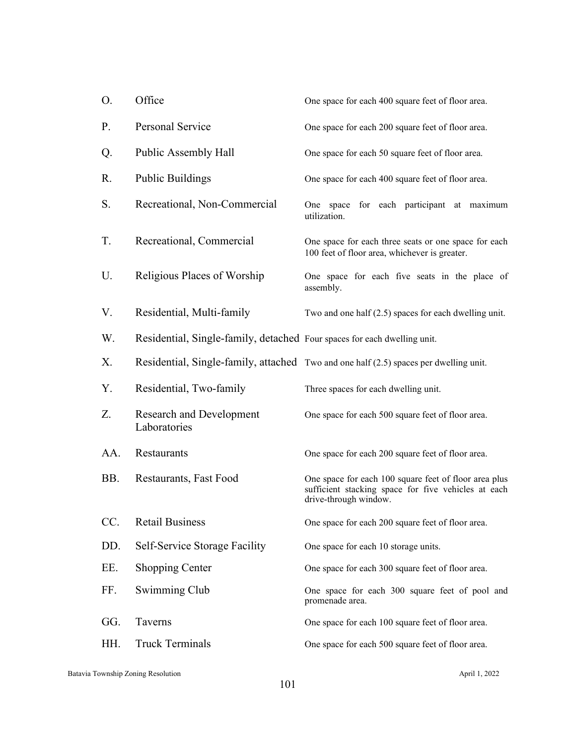| O.  | Office                                                                   | One space for each 400 square feet of floor area.                                                                                     |
|-----|--------------------------------------------------------------------------|---------------------------------------------------------------------------------------------------------------------------------------|
| P.  | Personal Service                                                         | One space for each 200 square feet of floor area.                                                                                     |
| Q.  | Public Assembly Hall                                                     | One space for each 50 square feet of floor area.                                                                                      |
| R.  | <b>Public Buildings</b>                                                  | One space for each 400 square feet of floor area.                                                                                     |
| S.  | Recreational, Non-Commercial                                             | One space for each participant at maximum<br>utilization.                                                                             |
| T.  | Recreational, Commercial                                                 | One space for each three seats or one space for each<br>100 feet of floor area, whichever is greater.                                 |
| U.  | Religious Places of Worship                                              | One space for each five seats in the place of<br>assembly.                                                                            |
| V.  | Residential, Multi-family                                                | Two and one half $(2.5)$ spaces for each dwelling unit.                                                                               |
| W.  | Residential, Single-family, detached Four spaces for each dwelling unit. |                                                                                                                                       |
| Χ.  |                                                                          | Residential, Single-family, attached Two and one half (2.5) spaces per dwelling unit.                                                 |
| Υ.  | Residential, Two-family                                                  | Three spaces for each dwelling unit.                                                                                                  |
| Z.  | <b>Research and Development</b><br>Laboratories                          | One space for each 500 square feet of floor area.                                                                                     |
| AA. | Restaurants                                                              | One space for each 200 square feet of floor area.                                                                                     |
| BB. | Restaurants, Fast Food                                                   | One space for each 100 square feet of floor area plus<br>sufficient stacking space for five vehicles at each<br>drive-through window. |
| CC. | <b>Retail Business</b>                                                   | One space for each 200 square feet of floor area.                                                                                     |
| DD. | Self-Service Storage Facility                                            | One space for each 10 storage units.                                                                                                  |
| EE. | <b>Shopping Center</b>                                                   | One space for each 300 square feet of floor area.                                                                                     |
| FF. | Swimming Club                                                            | One space for each 300 square feet of pool and<br>promenade area.                                                                     |
| GG. | Taverns                                                                  | One space for each 100 square feet of floor area.                                                                                     |
| HH. | <b>Truck Terminals</b>                                                   | One space for each 500 square feet of floor area.                                                                                     |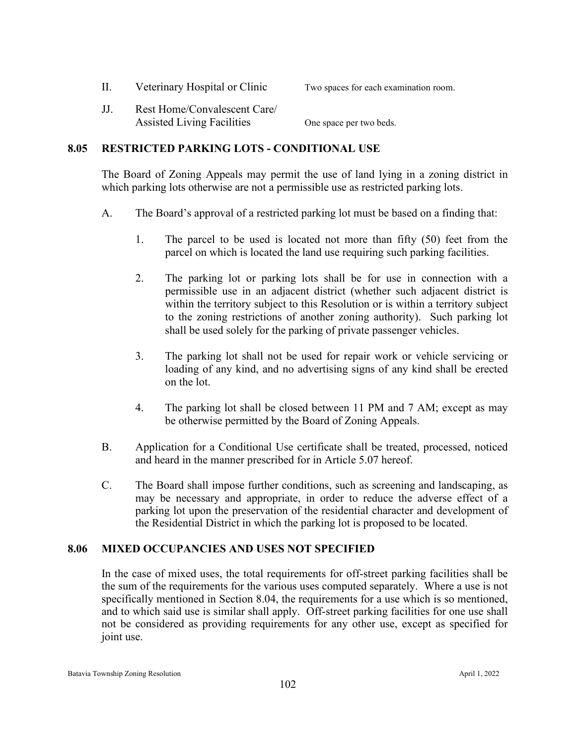II. Veterinary Hospital or Clinic Two spaces for each examination room.

JJ. Rest Home/Convalescent Care/ Assisted Living Facilities One space per two beds.

# **8.05 RESTRICTED PARKING LOTS - CONDITIONAL USE**

The Board of Zoning Appeals may permit the use of land lying in a zoning district in which parking lots otherwise are not a permissible use as restricted parking lots.

- A. The Board's approval of a restricted parking lot must be based on a finding that:
	- 1. The parcel to be used is located not more than fifty (50) feet from the parcel on which is located the land use requiring such parking facilities.
	- 2. The parking lot or parking lots shall be for use in connection with a permissible use in an adjacent district (whether such adjacent district is within the territory subject to this Resolution or is within a territory subject to the zoning restrictions of another zoning authority). Such parking lot shall be used solely for the parking of private passenger vehicles.
	- 3. The parking lot shall not be used for repair work or vehicle servicing or loading of any kind, and no advertising signs of any kind shall be erected on the lot.
	- 4. The parking lot shall be closed between 11 PM and 7 AM; except as may be otherwise permitted by the Board of Zoning Appeals.
- B. Application for a Conditional Use certificate shall be treated, processed, noticed and heard in the manner prescribed for in Article 5.07 hereof.
- C. The Board shall impose further conditions, such as screening and landscaping, as may be necessary and appropriate, in order to reduce the adverse effect of a parking lot upon the preservation of the residential character and development of the Residential District in which the parking lot is proposed to be located.

# **8.06 MIXED OCCUPANCIES AND USES NOT SPECIFIED**

In the case of mixed uses, the total requirements for off-street parking facilities shall be the sum of the requirements for the various uses computed separately. Where a use is not specifically mentioned in Section 8.04, the requirements for a use which is so mentioned, and to which said use is similar shall apply. Off-street parking facilities for one use shall not be considered as providing requirements for any other use, except as specified for joint use.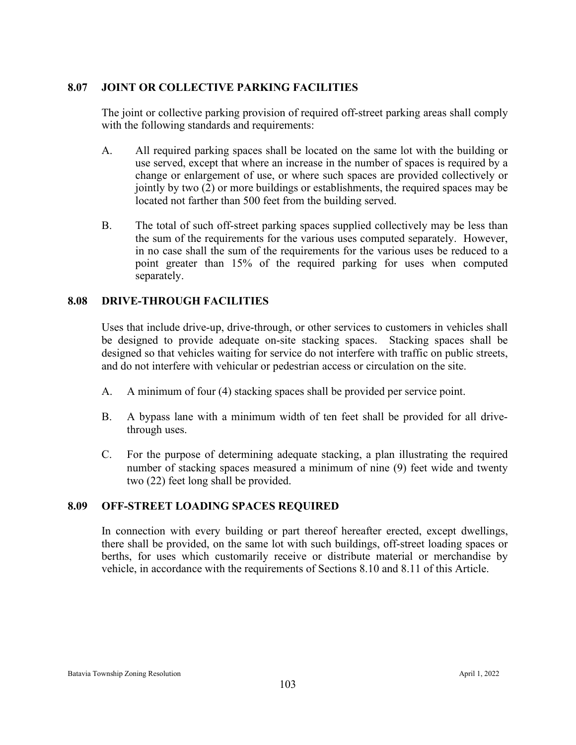# **8.07 JOINT OR COLLECTIVE PARKING FACILITIES**

The joint or collective parking provision of required off-street parking areas shall comply with the following standards and requirements:

- A. All required parking spaces shall be located on the same lot with the building or use served, except that where an increase in the number of spaces is required by a change or enlargement of use, or where such spaces are provided collectively or jointly by two (2) or more buildings or establishments, the required spaces may be located not farther than 500 feet from the building served.
- B. The total of such off-street parking spaces supplied collectively may be less than the sum of the requirements for the various uses computed separately. However, in no case shall the sum of the requirements for the various uses be reduced to a point greater than 15% of the required parking for uses when computed separately.

# **8.08 DRIVE-THROUGH FACILITIES**

Uses that include drive-up, drive-through, or other services to customers in vehicles shall be designed to provide adequate on-site stacking spaces. Stacking spaces shall be designed so that vehicles waiting for service do not interfere with traffic on public streets, and do not interfere with vehicular or pedestrian access or circulation on the site.

- A. A minimum of four (4) stacking spaces shall be provided per service point.
- B. A bypass lane with a minimum width of ten feet shall be provided for all drive through uses.
- C. For the purpose of determining adequate stacking, a plan illustrating the required number of stacking spaces measured a minimum of nine (9) feet wide and twenty two (22) feet long shall be provided.

#### **8.09 OFF-STREET LOADING SPACES REQUIRED**

In connection with every building or part thereof hereafter erected, except dwellings, there shall be provided, on the same lot with such buildings, off-street loading spaces or berths, for uses which customarily receive or distribute material or merchandise by vehicle, in accordance with the requirements of Sections 8.10 and 8.11 of this Article.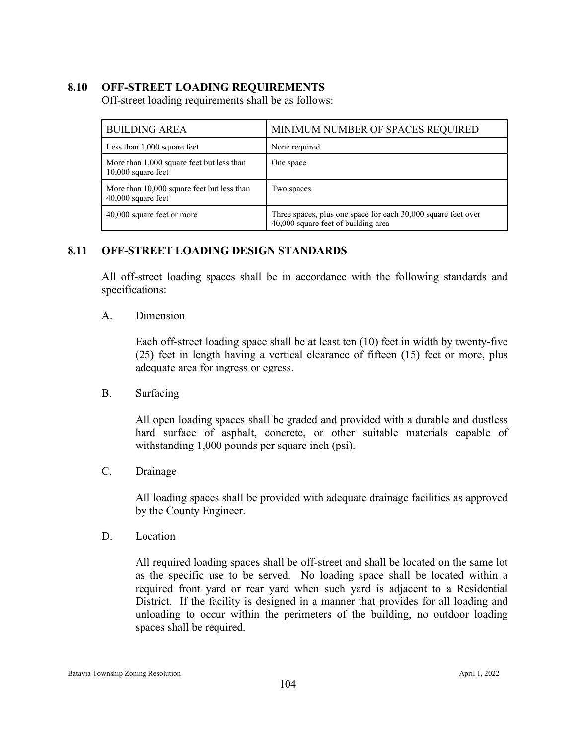# **8.10 OFF-STREET LOADING REQUIREMENTS**

Off-street loading requirements shall be as follows:

| <b>BUILDING AREA</b>                                               | MINIMUM NUMBER OF SPACES REQUIRED                                                                    |  |
|--------------------------------------------------------------------|------------------------------------------------------------------------------------------------------|--|
| Less than $1,000$ square feet                                      | None required                                                                                        |  |
| More than 1,000 square feet but less than<br>$10,000$ square feet  | One space                                                                                            |  |
| More than 10,000 square feet but less than<br>$40,000$ square feet | Two spaces                                                                                           |  |
| 40,000 square feet or more                                         | Three spaces, plus one space for each 30,000 square feet over<br>40,000 square feet of building area |  |

# **8.11 OFF-STREET LOADING DESIGN STANDARDS**

All off-street loading spaces shall be in accordance with the following standards and specifications:

#### A. Dimension

Each off-street loading space shall be at least ten (10) feet in width by twenty-five (25) feet in length having a vertical clearance of fifteen (15) feet or more, plus adequate area for ingress or egress.

#### B. Surfacing

All open loading spaces shall be graded and provided with a durable and dustless hard surface of asphalt, concrete, or other suitable materials capable of withstanding 1,000 pounds per square inch (psi).

C. Drainage

All loading spaces shall be provided with adequate drainage facilities as approved by the County Engineer.

D. Location

All required loading spaces shall be off-street and shall be located on the same lot as the specific use to be served. No loading space shall be located within a required front yard or rear yard when such yard is adjacent to a Residential District. If the facility is designed in a manner that provides for all loading and unloading to occur within the perimeters of the building, no outdoor loading spaces shall be required.

#### Batavia Township Zoning Resolution April 1, 2022